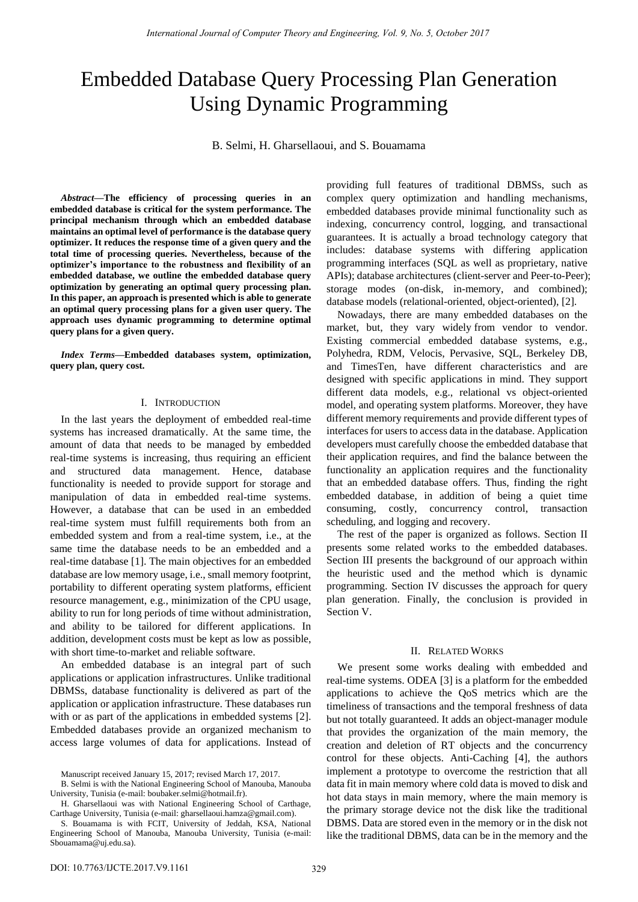# Embedded Database Query Processing Plan Generation Using Dynamic Programming

B. Selmi, H. Gharsellaoui, and S. Bouamama

*Abstract***—The efficiency of processing queries in an embedded database is critical for the system performance. The principal mechanism through which an embedded database maintains an optimal level of performance is the database query optimizer. It reduces the response time of a given query and the total time of processing queries. Nevertheless, because of the optimizer's importance to the robustness and flexibility of an embedded database, we outline the embedded database query optimization by generating an optimal query processing plan. In this paper, an approach is presented which is able to generate an optimal query processing plans for a given user query. The approach uses dynamic programming to determine optimal query plans for a given query.** 

*Index Terms***—Embedded databases system, optimization, query plan, query cost.** 

## I. INTRODUCTION

In the last years the deployment of embedded real-time systems has increased dramatically. At the same time, the amount of data that needs to be managed by embedded real-time systems is increasing, thus requiring an efficient and structured data management. Hence, database functionality is needed to provide support for storage and manipulation of data in embedded real-time systems. However, a database that can be used in an embedded real-time system must fulfill requirements both from an embedded system and from a real-time system, i.e., at the same time the database needs to be an embedded and a real-time database [1]. The main objectives for an embedded database are low memory usage, i.e., small memory footprint, portability to different operating system platforms, efficient resource management, e.g., minimization of the CPU usage, ability to run for long periods of time without administration, and ability to be tailored for different applications. In addition, development costs must be kept as low as possible, with short time-to-market and reliable software.

An embedded database is an integral part of such applications or application infrastructures. Unlike traditional DBMSs, database functionality is delivered as part of the application or application infrastructure. These databases run with or as part of the applications in embedded systems [2]. Embedded databases provide an organized mechanism to access large volumes of data for applications. Instead of providing full features of traditional DBMSs, such as complex query optimization and handling mechanisms, embedded databases provide minimal functionality such as indexing, concurrency control, logging, and transactional guarantees. It is actually a broad technology category that includes: database systems with differing application programming interfaces (SQL as well as proprietary, native APIs); database architectures (client-server and Peer-to-Peer); storage modes (on-disk, in-memory, and combined); database models (relational-oriented, object-oriented), [2].

Nowadays, there are many embedded databases on the market, but, they vary widely from vendor to vendor. Existing commercial embedded database systems, e.g., Polyhedra, RDM, Velocis, Pervasive, SQL, Berkeley DB, and TimesTen, have different characteristics and are designed with specific applications in mind. They support different data models, e.g., relational vs object-oriented model, and operating system platforms. Moreover, they have different memory requirements and provide different types of interfaces for users to access data in the database. Application developers must carefully choose the embedded database that their application requires, and find the balance between the functionality an application requires and the functionality that an embedded database offers. Thus, finding the right embedded database, in addition of being a quiet time consuming, costly, concurrency control, transaction scheduling, and logging and recovery.

The rest of the paper is organized as follows. Section II presents some related works to the embedded databases. Section III presents the background of our approach within the heuristic used and the method which is dynamic programming. Section IV discusses the approach for query plan generation. Finally, the conclusion is provided in Section V.

#### II. RELATED WORKS

We present some works dealing with embedded and real-time systems. ODEA [3] is a platform for the embedded applications to achieve the QoS metrics which are the timeliness of transactions and the temporal freshness of data but not totally guaranteed. It adds an object-manager module that provides the organization of the main memory, the creation and deletion of RT objects and the concurrency control for these objects. Anti-Caching [4], the authors implement a prototype to overcome the restriction that all data fit in main memory where cold data is moved to disk and hot data stays in main memory, where the main memory is the primary storage device not the disk like the traditional DBMS. Data are stored even in the memory or in the disk not like the traditional DBMS, data can be in the memory and the

Manuscript received January 15, 2017; revised March 17, 2017.

B. Selmi is with the National Engineering School of Manouba, Manouba University, Tunisia (e-mail: boubaker.selmi@hotmail.fr).

H. Gharsellaoui was with National Engineering School of Carthage, Carthage University, Tunisia (e-mail: gharsellaoui.hamza@gmail.com).

S. Bouamama is with FCIT, University of Jeddah, KSA, National Engineering School of Manouba, Manouba University, Tunisia (e-mail: Sbouamama@uj.edu.sa).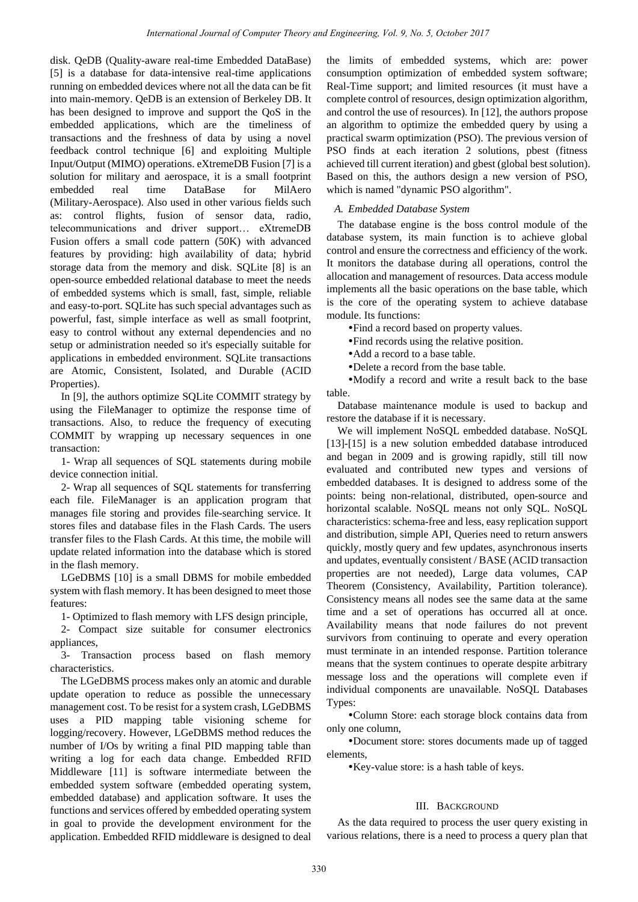disk. QeDB (Quality-aware real-time Embedded DataBase) [5] is a database for data-intensive real-time applications running on embedded devices where not all the data can be fit into main-memory. QeDB is an extension of Berkeley DB. It has been designed to improve and support the QoS in the embedded applications, which are the timeliness of transactions and the freshness of data by using a novel feedback control technique [6] and exploiting Multiple Input/Output (MIMO) operations. eXtremeDB Fusion [7] is a solution for military and aerospace, it is a small footprint embedded real time DataBase for MilAero (Military-Aerospace). Also used in other various fields such as: control flights, fusion of sensor data, radio, telecommunications and driver support… eXtremeDB Fusion offers a small code pattern (50K) with advanced features by providing: high availability of data; hybrid storage data from the memory and disk. SQLite [8] is an open-source embedded relational database to meet the needs of embedded systems which is small, fast, simple, reliable and easy-to-port. SQLite has such special advantages such as powerful, fast, simple interface as well as small footprint, easy to control without any external dependencies and no setup or administration needed so it's especially suitable for applications in embedded environment. SQLite transactions are Atomic, Consistent, Isolated, and Durable (ACID Properties).

In [9], the authors optimize SOLite COMMIT strategy by using the FileManager to optimize the response time of transactions. Also, to reduce the frequency of executing COMMIT by wrapping up necessary sequences in one transaction:

1- Wrap all sequences of SQL statements during mobile device connection initial.

2- Wrap all sequences of SQL statements for transferring each file. FileManager is an application program that manages file storing and provides file-searching service. It stores files and database files in the Flash Cards. The users transfer files to the Flash Cards. At this time, the mobile will update related information into the database which is stored in the flash memory.

LGeDBMS [10] is a small DBMS for mobile embedded system with flash memory. It has been designed to meet those features:

1- Optimized to flash memory with LFS design principle,

2- Compact size suitable for consumer electronics appliances,

3- Transaction process based on flash memory characteristics.

The LGeDBMS process makes only an atomic and durable update operation to reduce as possible the unnecessary management cost. To be resist for a system crash, LGeDBMS uses a PID mapping table visioning scheme for logging/recovery. However, LGeDBMS method reduces the number of I/Os by writing a final PID mapping table than writing a log for each data change. Embedded RFID Middleware [11] is software intermediate between the embedded system software (embedded operating system, embedded database) and application software. It uses the functions and services offered by embedded operating system in goal to provide the development environment for the application. Embedded RFID middleware is designed to deal

the limits of embedded systems, which are: power consumption optimization of embedded system software; Real-Time support; and limited resources (it must have a complete control of resources, design optimization algorithm, and control the use of resources). In [12], the authors propose an algorithm to optimize the embedded query by using a practical swarm optimization (PSO). The previous version of PSO finds at each iteration 2 solutions, pbest (fitness achieved till current iteration) and gbest (global best solution). Based on this, the authors design a new version of PSO, which is named "dynamic PSO algorithm".

# *A. Embedded Database System*

The database engine is the boss control module of the database system, its main function is to achieve global control and ensure the correctness and efficiency of the work. It monitors the database during all operations, control the allocation and management of resources. Data access module implements all the basic operations on the base table, which is the core of the operating system to achieve database module. Its functions:

Find a record based on property values.

Find records using the relative position.

Add a record to a base table.

Delete a record from the base table.

Modify a record and write a result back to the base table.

Database maintenance module is used to backup and restore the database if it is necessary.

We will implement NoSQL embedded database. NoSQL [13]-[15] is a new solution embedded database introduced and began in 2009 and is growing rapidly, still till now evaluated and contributed new types and versions of embedded databases. It is designed to address some of the points: being non-relational, distributed, open-source and horizontal scalable. NoSQL means not only SQL. NoSQL characteristics: schema-free and less, easy replication support and distribution, simple API, Queries need to return answers quickly, mostly query and few updates, asynchronous inserts and updates, eventually consistent / BASE (ACID transaction properties are not needed), Large data volumes, CAP Theorem (Consistency, Availability, Partition tolerance). Consistency means all nodes see the same data at the same time and a set of operations has occurred all at once. Availability means that node failures do not prevent survivors from continuing to operate and every operation must terminate in an intended response. Partition tolerance means that the system continues to operate despite arbitrary message loss and the operations will complete even if individual components are unavailable. NoSQL Databases Types:

Column Store: each storage block contains data from only one column,

Document store: stores documents made up of tagged elements,

Key-value store: is a hash table of keys.

# III. BACKGROUND

As the data required to process the user query existing in various relations, there is a need to process a query plan that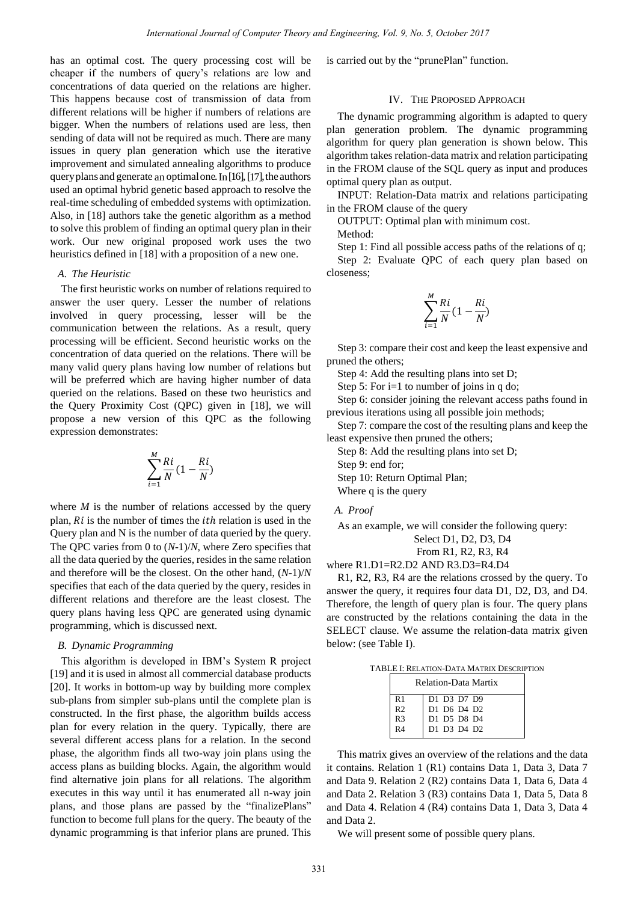has an optimal cost. The query processing cost will be cheaper if the numbers of query's relations are low and concentrations of data queried on the relations are higher. This happens because cost of transmission of data from different relations will be higher if numbers of relations are bigger. When the numbers of relations used are less, then sending of data will not be required as much. There are many issues in query plan generation which use the iterative improvement and simulated annealing algorithms to produce used an optimal hybrid genetic based approach to resolve the real-time scheduling of embedded systems with optimization. Also, in [18] authors take the genetic algorithm as a method to solve this problem of finding an optimal query plan in their work. Our new original proposed work uses the two heuristics defined in [18] with a proposition of a new one. query plans and generate an optimal one. In [16], [17], the authors

## *A. The Heuristic*

The first heuristic works on number of relations required to answer the user query. Lesser the number of relations involved in query processing, lesser will be the communication between the relations. As a result, query processing will be efficient. Second heuristic works on the concentration of data queried on the relations. There will be many valid query plans having low number of relations but will be preferred which are having higher number of data queried on the relations. Based on these two heuristics and the Query Proximity Cost (QPC) given in [18], we will propose a new version of this QPC as the following expression demonstrates:

$$
\sum_{i=1}^M \frac{Ri}{N} (1 - \frac{Ri}{N})
$$

where *M* is the number of relations accessed by the query plan,  $Ri$  is the number of times the  $ith$  relation is used in the Query plan and N is the number of data queried by the query. The QPC varies from 0 to (*N*-1)/*N*, where Zero specifies that all the data queried by the queries, resides in the same relation and therefore will be the closest. On the other hand, (*N*-1)/*N* specifies that each of the data queried by the query, resides in different relations and therefore are the least closest. The query plans having less QPC are generated using dynamic programming, which is discussed next.

### *B. Dynamic Programming*

This algorithm is developed in IBM's System R project [19] and it is used in almost all commercial database products [20]. It works in bottom-up way by building more complex sub-plans from simpler sub-plans until the complete plan is constructed. In the first phase, the algorithm builds access plan for every relation in the query. Typically, there are several different access plans for a relation. In the second phase, the algorithm finds all two-way join plans using the access plans as building blocks. Again, the algorithm would find alternative join plans for all relations. The algorithm executes in this way until it has enumerated all n-way join plans, and those plans are passed by the "finalizePlans" function to become full plans for the query. The beauty of the dynamic programming is that inferior plans are pruned. This is carried out by the "prunePlan" function.

### IV. THE PROPOSED APPROACH

The dynamic programming algorithm is adapted to query plan generation problem. The dynamic programming algorithm for query plan generation is shown below. This algorithm takes relation-data matrix and relation participating in the FROM clause of the SQL query as input and produces optimal query plan as output.

INPUT: Relation-Data matrix and relations participating in the FROM clause of the query

OUTPUT: Optimal plan with minimum cost.

Method:

Step 1: Find all possible access paths of the relations of q; Step 2: Evaluate QPC of each query plan based on closeness;

$$
\sum_{i=1}^{M} \frac{Ri}{N} (1 - \frac{Ri}{N})
$$

Step 3: compare their cost and keep the least expensive and pruned the others;

Step 4: Add the resulting plans into set D;

Step 5: For i=1 to number of joins in q do;

Step 6: consider joining the relevant access paths found in previous iterations using all possible join methods;

Step 7: compare the cost of the resulting plans and keep the least expensive then pruned the others;

Step 8: Add the resulting plans into set D;

Step 9: end for;

Step 10: Return Optimal Plan;

Where q is the query

*A. Proof* 

As an example, we will consider the following query:

Select D1, D2, D3, D4

From R1, R2, R3, R4

where R1.D1=R2.D2 AND R3.D3=R4.D4

R1, R2, R3, R4 are the relations crossed by the query. To answer the query, it requires four data D1, D2, D3, and D4. Therefore, the length of query plan is four. The query plans are constructed by the relations containing the data in the SELECT clause. We assume the relation-data matrix given below: (see Table I).

| <b>TABLE I: RELATION-DATA MATRIX DESCRIPTION</b> |  |  |
|--------------------------------------------------|--|--|
|--------------------------------------------------|--|--|

| <b>Relation-Data Martix</b> |             |  |  |  |
|-----------------------------|-------------|--|--|--|
| R <sub>1</sub>              | D1 D3 D7 D9 |  |  |  |
| R <sub>2</sub>              | D1 D6 D4 D2 |  |  |  |
| R <sub>3</sub>              | D1 D5 D8 D4 |  |  |  |
| R <sub>4</sub>              | D1 D3 D4 D2 |  |  |  |

This matrix gives an overview of the relations and the data it contains. Relation 1 (R1) contains Data 1, Data 3, Data 7 and Data 9. Relation 2 (R2) contains Data 1, Data 6, Data 4 and Data 2. Relation 3 (R3) contains Data 1, Data 5, Data 8 and Data 4. Relation 4 (R4) contains Data 1, Data 3, Data 4 and Data 2.

We will present some of possible query plans.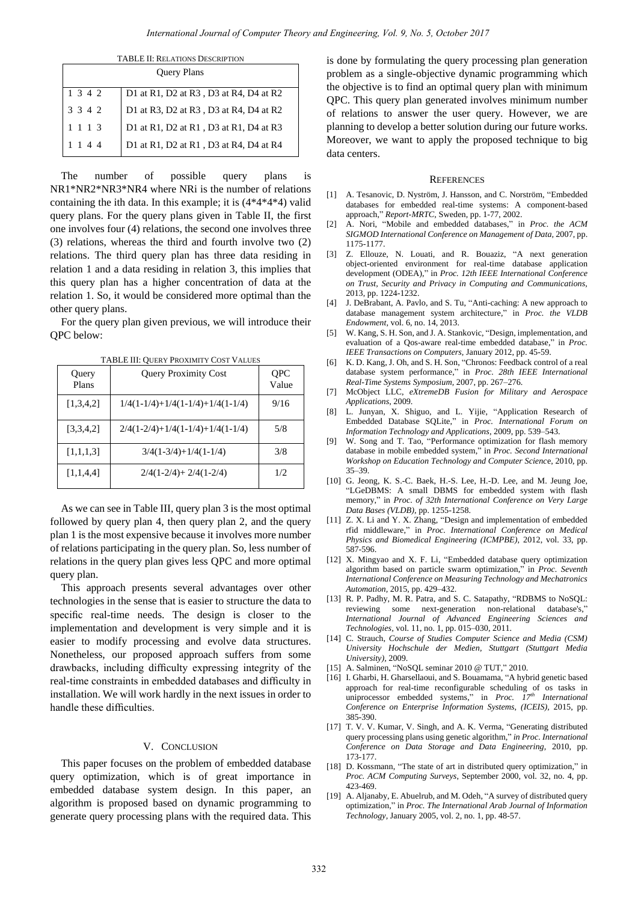| <b>TABLE II: RELATIONS DESCRIPTION</b> |  |  |  |  |
|----------------------------------------|--|--|--|--|
| <b>Query Plans</b>                     |  |  |  |  |
|                                        |  |  |  |  |
| D1 at R1, D2 at R3, D3 at R4, D4 at R2 |  |  |  |  |
| D1 at R3, D2 at R3, D3 at R4, D4 at R2 |  |  |  |  |
|                                        |  |  |  |  |
| D1 at R1, D2 at R1, D3 at R1, D4 at R3 |  |  |  |  |
| D1 at R1, D2 at R1, D3 at R4, D4 at R4 |  |  |  |  |
|                                        |  |  |  |  |

The number of possible query plans is NR1\*NR2\*NR3\*NR4 where NRi is the number of relations containing the ith data. In this example; it is (4\*4\*4\*4) valid query plans. For the query plans given in Table II, the first one involves four (4) relations, the second one involves three (3) relations, whereas the third and fourth involve two (2) relations. The third query plan has three data residing in relation 1 and a data residing in relation 3, this implies that this query plan has a higher concentration of data at the relation 1. So, it would be considered more optimal than the other query plans.

For the query plan given previous, we will introduce their QPC below:

| Query<br>Plans | <b>Query Proximity Cost</b>        | QPC<br>Value |
|----------------|------------------------------------|--------------|
| [1,3,4,2]      | $1/4(1-1/4)+1/4(1-1/4)+1/4(1-1/4)$ | 9/16         |
| [3,3,4,2]      | $2/4(1-2/4)+1/4(1-1/4)+1/4(1-1/4)$ | 5/8          |
| [1,1,1,3]      | $3/4(1-3/4)+1/4(1-1/4)$            | 3/8          |
| [1,1,4,4]      | $2/4(1-2/4) + 2/4(1-2/4)$          | 1/2          |

TABLE III: QUERY PROXIMITY COST VALUES

As we can see in Table III, query plan 3 is the most optimal followed by query plan 4, then query plan 2, and the query plan 1 is the most expensive because it involves more number of relations participating in the query plan. So, less number of relations in the query plan gives less QPC and more optimal query plan.

This approach presents several advantages over other technologies in the sense that is easier to structure the data to specific real-time needs. The design is closer to the implementation and development is very simple and it is easier to modify processing and evolve data structures. Nonetheless, our proposed approach suffers from some drawbacks, including difficulty expressing integrity of the real-time constraints in embedded databases and difficulty in installation. We will work hardly in the next issues in order to handle these difficulties.

# V. CONCLUSION

This paper focuses on the problem of embedded database query optimization, which is of great importance in embedded database system design. In this paper, an algorithm is proposed based on dynamic programming to generate query processing plans with the required data. This is done by formulating the query processing plan generation problem as a single-objective dynamic programming which the objective is to find an optimal query plan with minimum QPC. This query plan generated involves minimum number of relations to answer the user query. However, we are planning to develop a better solution during our future works. Moreover, we want to apply the proposed technique to big data centers.

#### **REFERENCES**

- [1] A. Tesanovic, D. Nyström, J. Hansson, and C. Norström, "Embedded databases for embedded real-time systems: A component-based approach," *Report-MRTC,* Sweden*,* pp. 1-77, 2002.
- [2] A. Nori, "Mobile and embedded databases," in *Proc. the ACM SIGMOD International Conference on Management of Data,* 2007, pp. 1175-1177.
- [3] Z. Ellouze, N. Louati, and R. Bouaziz, "A next generation object-oriented environment for real-time database application development (ODEA)," in *Proc. 12th IEEE International Conference on Trust, Security and Privacy in Computing and Communications,* 2013, pp. 1224-1232.
- [4] J. DeBrabant, A. Pavlo, and S. Tu, "Anti-caching: A new approach to database management system architecture," in *Proc. the VLDB Endowment,* vol. 6, no. 14, 2013.
- [5] W. Kang, S. H. Son, and J. A. Stankovic, "Design, implementation, and evaluation of a Qos-aware real-time embedded database," in *Proc. IEEE Transactions on Computers,* January 2012, pp. 45-59.
- [6] K. D. Kang, J. Oh, and S. H. Son, "Chronos: Feedback control of a real database system performance," in *Proc. 28th IEEE International Real-Time Systems Symposium,* 2007, pp. 267–276.
- [7] McObject LLC, *eXtremeDB Fusion for Military and Aerospace Applications*, 2009.
- [8] L. Junyan, X. Shiguo, and L. Yijie, "Application Research of Embedded Database SQLite," in *Proc. International Forum on Information Technology and Applications*, 2009, pp. 539–543.
- [9] W. Song and T. Tao, "Performance optimization for flash memory database in mobile embedded system," in *Proc. Second International Workshop on Education Technology and Computer Scienc*e, 2010, pp. 35–39.
- [10] G. Jeong, K. S.-C. Baek, H.-S. Lee, H.-D. Lee, and M. Jeung Joe, "LGeDBMS: A small DBMS for embedded system with flash memory," in *Proc. of 32th International Conference on Very Large Data Bases (VLDB),* pp. 1255-1258.
- [11] Z. X. Li and Y. X. Zhang, "Design and implementation of embedded rfid middleware," in *Proc. International Conference on Medical Physics and Biomedical Engineering (ICMPBE),* 2012, vol. 33, pp. 587-596.
- [12] X. Mingyao and X. F. Li, "Embedded database query optimization algorithm based on particle swarm optimization," in *Proc. Seventh International Conference on Measuring Technology and Mechatronics Automation,* 2015, pp. 429–432.
- [13] R. P. Padhy, M. R. Patra, and S. C. Satapathy, "RDBMS to NoSQL: reviewing some next-generation non-relational database's," *International Journal of Advanced Engineering Sciences and Technologies,* vol. 11, no. 1, pp. 015–030, 2011.
- [14] C. Strauch, *Course of Studies Computer Science and Media (CSM) University Hochschule der Medien, Stuttgart (Stuttgart Media University),* 2009.
- [15] A. Salminen, "NoSQL seminar 2010 @ TUT," 2010.
- [16] I. Gharbi, H. Gharsellaoui, and S. Bouamama, "A hybrid genetic based approach for real-time reconfigurable scheduling of os tasks in uniprocessor embedded systems," in *Proc. 17th International Conference on Enterprise Information Systems, (ICEIS),* 2015, pp. 385-390.
- [17] T. V. V. Kumar, V. Singh, and A. K. Verma, "Generating distributed query processing plans using genetic algorithm," *in Proc. International Conference on Data Storage and Data Engineering,* 2010, pp. 173-177.
- [18] D. Kossmann, "The state of art in distributed query optimization," in *Proc. ACM Computing Surveys*, September 2000, vol. 32, no. 4, pp. 423-469.
- [19] A. Aljanaby, E. Abuelrub, and M. Odeh, "A survey of distributed query optimization," in *Proc. The International Arab Journal of Information Technology,* January 2005, vol. 2, no. 1, pp. 48-57.